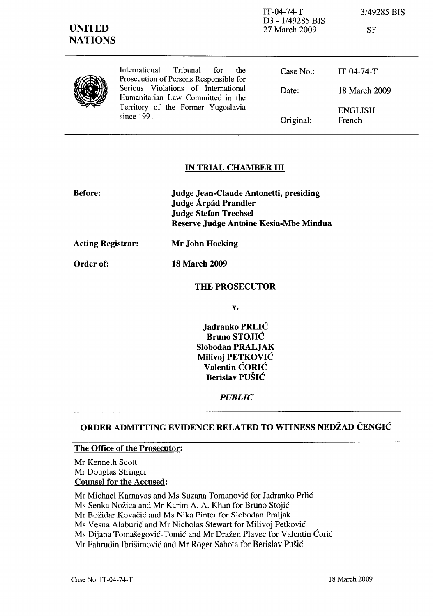| <b>UNITED</b><br><b>NATIONS</b> |                                                                                                                              | $IT-04-74-T$<br>D <sub>3</sub> - 1/49285 BIS<br>27 March 2009 | 3/49285 BIS<br><b>SF</b> |
|---------------------------------|------------------------------------------------------------------------------------------------------------------------------|---------------------------------------------------------------|--------------------------|
|                                 | International<br>Tribunal<br>for<br>the<br>Prosecution of Persons Responsible for                                            | Case $No.$ :                                                  | $IT-04-74-T$             |
|                                 | Serious Violations of International<br>Humanitarian Law Committed in the<br>Territory of the Former Yugoslavia<br>since 1991 | Date:                                                         | 18 March 2009            |
|                                 |                                                                                                                              | Original:                                                     | <b>ENGLISH</b><br>French |

### IN TRIAL CHAMBER III

| <b>Before:</b>           | Judge Jean-Claude Antonetti, presiding<br>Judge Árpád Prandler         |  |
|--------------------------|------------------------------------------------------------------------|--|
|                          | <b>Judge Stefan Trechsel</b><br>Reserve Judge Antoine Kesia-Mbe Mindua |  |
| <b>Acting Registrar:</b> | Mr John Hocking                                                        |  |

Order of: 18 March 2009

#### THE PROSECUTOR

v.

Jadranko PRLIĆ Bruno STOJIĆ Slobodan PRALJAK Milivoj PETKOVIĆ Valentin ĆORIĆ Berislav PUŠIĆ

## *PUBLIC*

# ORDER ADMITTING EVIDENCE RELATED TO WITNESS NEDŽAD ČENGIĆ

### The Office of the Prosecutor:

Mr Kenneth Scott Mr Douglas Stringer Counsel for the Accused:

Mr Michael Kamavas and Ms Suzana Tomanović for Jadranko Prlić Ms Senka Nožica and Mr Karim A. A. Khan for Bruno Stojić Mr Božidar Kovačić and Ms Nika Pinter for Slobodan Praljak Ms Vesna Alaburić and Mr Nicholas Stewart for Milivoj Petković Ms Dijana Tomašegović-Tomić and Mr Dražen Plavec for Valentin Ćorić Mr Fahrudin Ibrišimović and Mr Roger Sahata for Berislav Pušić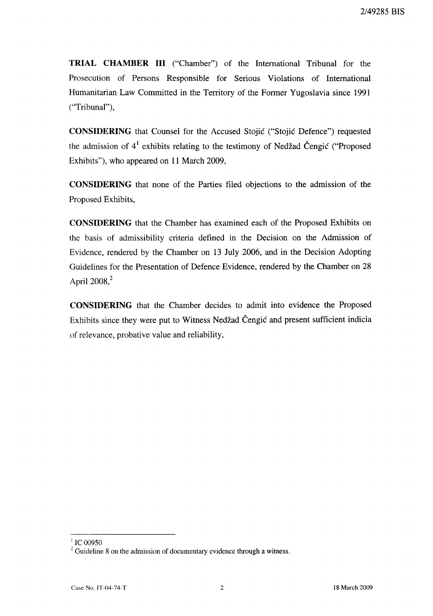**TRIAL CHAMBER III** ("Chamber") of the International Tribunal for the Prosecution of Persons Responsible for Serious Violations of International Humanitarian Law Committed in the Territory of the Former Yugoslavia since 1991 ("Tribunal"),

**CONSIDERING** that Counsel for the Accused Stojić ("Stojić Defence") requested the admission of  $4<sup>1</sup>$  exhibits relating to the testimony of Nedžad Čengić ("Proposed Exhibits"), who appeared on **11** March 2009,

**CONSIDERING** that none of the Parties filed objections to the admission of the Proposed Exhibits,

**CONSIDERING** that the Chamber has examined each of the Proposed Exhibits on the basis of admissibility criteria defined in the Decision on the Admission of Evidence, rendered by the Chamber on 13 July 2006, and in the Decision Adopting Guidelines for the Presentation of Defence Evidence, rendered by the Chamber on 28 April  $2008$ <sup>2</sup>

**CONSIDERING** that the Chamber decides to admit into evidence the Proposed Exhibits since they were put to Witness Nedžad Čengić and present sufficient indicia of relevance, probative value and reliability,

 $^{1}$  IC 00950

 $2^2$  Guideline 8 on the admission of documentary evidence through a witness.